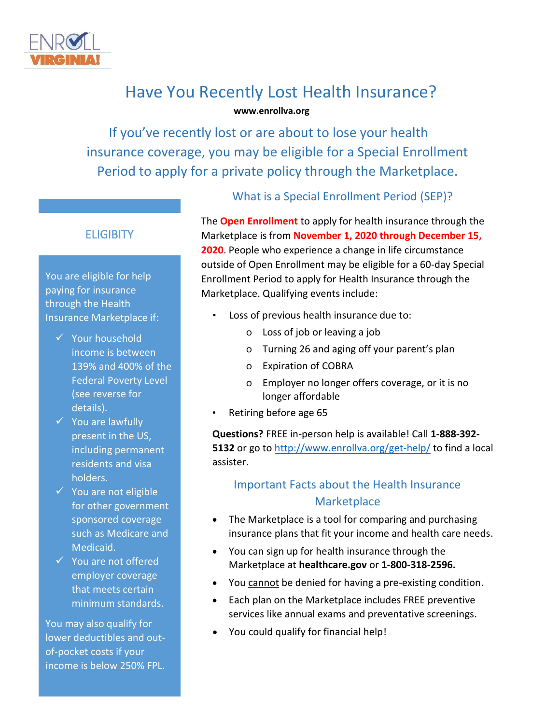

# Have You Recently Lost Health Insurance? **www.enrollva.org**

If you've recently lost or are about to lose your health insurance coverage, you may be eligible for a Special Enrollment Period to apply for a private policy through the Marketplace.

# **ELIGIBITY**

You are eligible for help paying for insurance through the Health Insurance Marketplace if:

- ✓ Your household income is between 139% and 400% of the Federal Poverty Level (see reverse for details).
- ✓ You are lawfully present in the US, including permanent residents and visa holders.
- ✓ You are not eligible for other government sponsored coverage such as Medicare and Medicaid.
- ✓ You are not offered employer coverage that meets certain minimum standards.

You may also qualify for lower deductibles and outof-pocket costs if your income is below 250% FPL.

### What is a Special Enrollment Period (SEP)?

The **Open Enrollment** to apply for health insurance through the Marketplace is from **November 1, 2020 through December 15, 2020**. People who experience a change in life circumstance outside of Open Enrollment may be eligible for a 60-day Special Enrollment Period to apply for Health Insurance through the Marketplace. Qualifying events include:

- Loss of previous health insurance due to:
	- o Loss of job or leaving a job
	- o Turning 26 and aging off your parent's plan
	- o Expiration of COBRA
	- o Employer no longer offers coverage, or it is no longer affordable
- Retiring before age 65

**Questions?** FREE in-person help is available! Call **1-888-392- 5132** or go to<http://www.enrollva.org/get-help/> to find a local assister.

# Important Facts about the Health Insurance **Marketplace**

- The Marketplace is a tool for comparing and purchasing insurance plans that fit your income and health care needs.
- You can sign up for health insurance through the Marketplace at **healthcare.gov** or **1-800-318-2596.**
- You cannot be denied for having a pre-existing condition.
- Each plan on the Marketplace includes FREE preventive services like annual exams and preventative screenings.
- You could qualify for financial help!